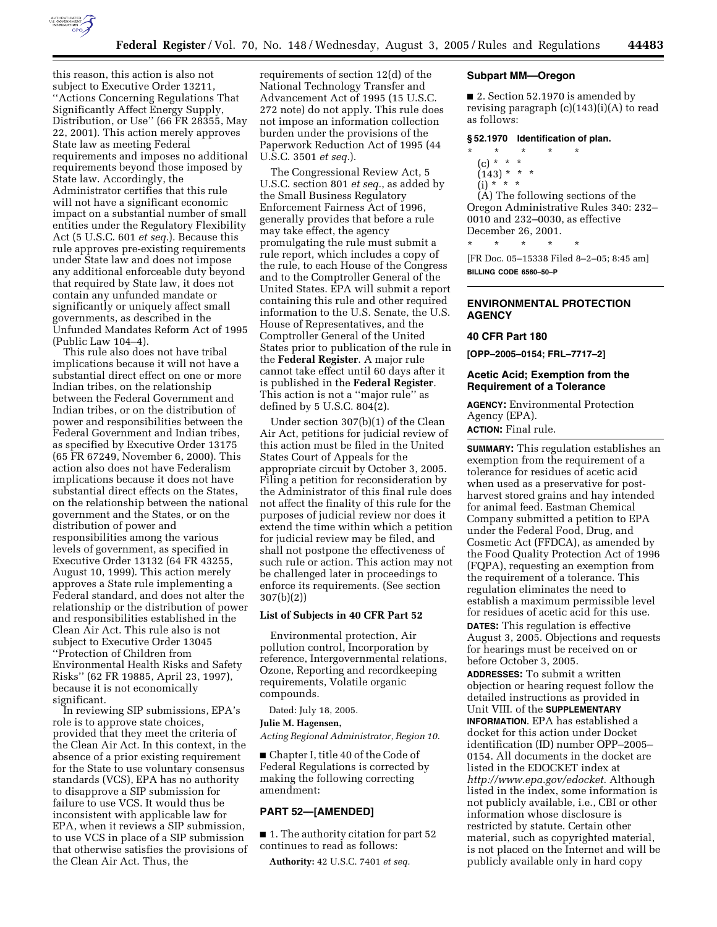

this reason, this action is also not subject to Executive Order 13211, ''Actions Concerning Regulations That Significantly Affect Energy Supply, Distribution, or Use'' (66 FR 28355, May 22, 2001). This action merely approves State law as meeting Federal requirements and imposes no additional requirements beyond those imposed by State law. Accordingly, the Administrator certifies that this rule will not have a significant economic impact on a substantial number of small entities under the Regulatory Flexibility Act (5 U.S.C. 601 *et seq.*). Because this rule approves pre-existing requirements under State law and does not impose any additional enforceable duty beyond that required by State law, it does not contain any unfunded mandate or significantly or uniquely affect small governments, as described in the Unfunded Mandates Reform Act of 1995 (Public Law 104–4).

This rule also does not have tribal implications because it will not have a substantial direct effect on one or more Indian tribes, on the relationship between the Federal Government and Indian tribes, or on the distribution of power and responsibilities between the Federal Government and Indian tribes, as specified by Executive Order 13175 (65 FR 67249, November 6, 2000). This action also does not have Federalism implications because it does not have substantial direct effects on the States, on the relationship between the national government and the States, or on the distribution of power and responsibilities among the various levels of government, as specified in Executive Order 13132 (64 FR 43255, August 10, 1999). This action merely approves a State rule implementing a Federal standard, and does not alter the relationship or the distribution of power and responsibilities established in the Clean Air Act. This rule also is not subject to Executive Order 13045 ''Protection of Children from Environmental Health Risks and Safety Risks'' (62 FR 19885, April 23, 1997), because it is not economically significant.

In reviewing SIP submissions, EPA's role is to approve state choices, provided that they meet the criteria of the Clean Air Act. In this context, in the absence of a prior existing requirement for the State to use voluntary consensus standards (VCS), EPA has no authority to disapprove a SIP submission for failure to use VCS. It would thus be inconsistent with applicable law for EPA, when it reviews a SIP submission, to use VCS in place of a SIP submission that otherwise satisfies the provisions of the Clean Air Act. Thus, the

requirements of section 12(d) of the National Technology Transfer and Advancement Act of 1995 (15 U.S.C. 272 note) do not apply. This rule does not impose an information collection burden under the provisions of the Paperwork Reduction Act of 1995 (44 U.S.C. 3501 *et seq.*).

The Congressional Review Act, 5 U.S.C. section 801 *et seq.*, as added by the Small Business Regulatory Enforcement Fairness Act of 1996, generally provides that before a rule may take effect, the agency promulgating the rule must submit a rule report, which includes a copy of the rule, to each House of the Congress and to the Comptroller General of the United States. EPA will submit a report containing this rule and other required information to the U.S. Senate, the U.S. House of Representatives, and the Comptroller General of the United States prior to publication of the rule in the **Federal Register**. A major rule cannot take effect until 60 days after it is published in the **Federal Register**. This action is not a ''major rule'' as defined by 5 U.S.C. 804(2).

Under section 307(b)(1) of the Clean Air Act, petitions for judicial review of this action must be filed in the United States Court of Appeals for the appropriate circuit by October 3, 2005. Filing a petition for reconsideration by the Administrator of this final rule does not affect the finality of this rule for the purposes of judicial review nor does it extend the time within which a petition for judicial review may be filed, and shall not postpone the effectiveness of such rule or action. This action may not be challenged later in proceedings to enforce its requirements. (See section 307(b)(2))

## **List of Subjects in 40 CFR Part 52**

Environmental protection, Air pollution control, Incorporation by reference, Intergovernmental relations, Ozone, Reporting and recordkeeping requirements, Volatile organic compounds.

Dated: July 18, 2005.

# **Julie M. Hagensen,**

*Acting Regional Administrator, Region 10.*

■ Chapter I, title 40 of the Code of Federal Regulations is corrected by making the following correcting amendment:

# **PART 52—[AMENDED]**

■ 1. The authority citation for part 52 continues to read as follows:

**Authority:** 42 U.S.C. 7401 *et seq.*

#### **Subpart MM—Oregon**

■ 2. Section 52.1970 is amended by revising paragraph (c)(143)(i)(A) to read as follows:

#### **§ 52.1970 Identification of plan.**

- \* \* \* \* \*
	- (c) \* \* \*
	- $(143) * * * *$
	- $(i) * ' * *$

(A) The following sections of the Oregon Administrative Rules 340: 232– 0010 and 232–0030, as effective December 26, 2001.

\* \* \* \* \*

[FR Doc. 05–15338 Filed 8–2–05; 8:45 am] **BILLING CODE 6560–50–P**

# **ENVIRONMENTAL PROTECTION AGENCY**

#### **40 CFR Part 180**

**[OPP–2005–0154; FRL–7717–2]**

# **Acetic Acid; Exemption from the Requirement of a Tolerance**

**AGENCY:** Environmental Protection Agency (EPA).

**ACTION:** Final rule.

**SUMMARY:** This regulation establishes an exemption from the requirement of a tolerance for residues of acetic acid when used as a preservative for postharvest stored grains and hay intended for animal feed. Eastman Chemical Company submitted a petition to EPA under the Federal Food, Drug, and Cosmetic Act (FFDCA), as amended by the Food Quality Protection Act of 1996 (FQPA), requesting an exemption from the requirement of a tolerance. This regulation eliminates the need to establish a maximum permissible level for residues of acetic acid for this use. **DATES:** This regulation is effective August 3, 2005. Objections and requests

for hearings must be received on or before October 3, 2005.

**ADDRESSES:** To submit a written objection or hearing request follow the detailed instructions as provided in Unit VIII. of the **SUPPLEMENTARY INFORMATION**. EPA has established a docket for this action under Docket identification (ID) number OPP–2005– 0154. All documents in the docket are listed in the EDOCKET index at *http://www.epa.gov/edocket*. Although listed in the index, some information is not publicly available, i.e., CBI or other information whose disclosure is restricted by statute. Certain other material, such as copyrighted material, is not placed on the Internet and will be publicly available only in hard copy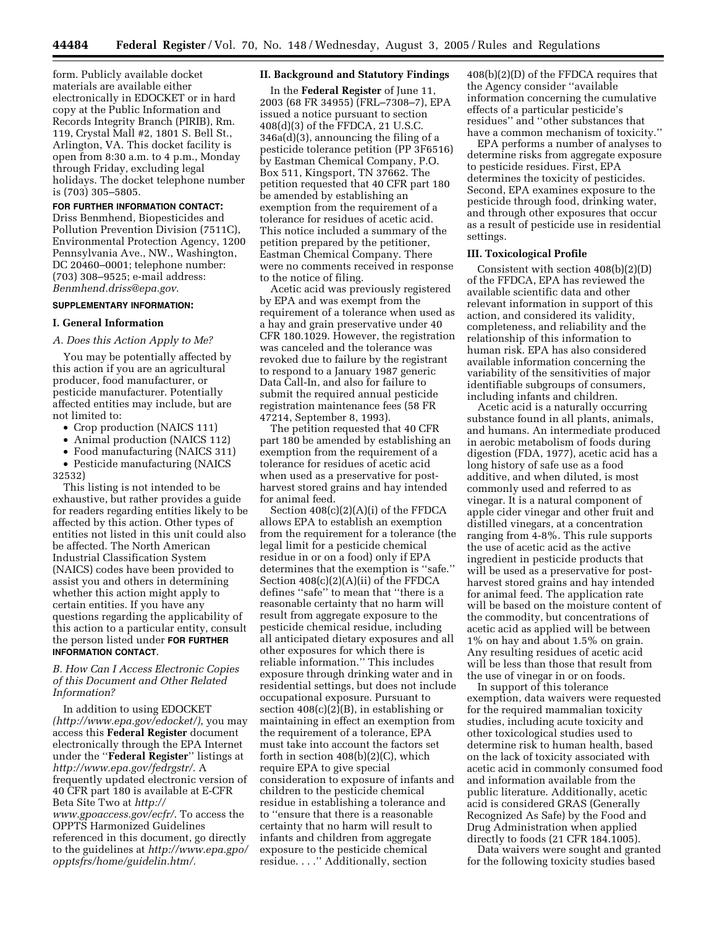form. Publicly available docket materials are available either electronically in EDOCKET or in hard copy at the Public Information and Records Integrity Branch (PIRIB), Rm. 119, Crystal Mall #2, 1801 S. Bell St., Arlington, VA. This docket facility is open from 8:30 a.m. to 4 p.m., Monday through Friday, excluding legal holidays. The docket telephone number is (703) 305–5805.

## **FOR FURTHER INFORMATION CONTACT:**

Driss Benmhend, Biopesticides and Pollution Prevention Division (7511C), Environmental Protection Agency, 1200 Pennsylvania Ave., NW., Washington, DC 20460–0001; telephone number: (703) 308–9525; e-mail address: *Benmhend.driss@epa.gov*.

## **SUPPLEMENTARY INFORMATION:**

#### **I. General Information**

### *A. Does this Action Apply to Me?*

You may be potentially affected by this action if you are an agricultural producer, food manufacturer, or pesticide manufacturer. Potentially affected entities may include, but are not limited to:

- Crop production (NAICS 111)
- Animal production (NAICS 112)
- Food manufacturing (NAICS 311)
- Pesticide manufacturing (NAICS 32532)

This listing is not intended to be exhaustive, but rather provides a guide for readers regarding entities likely to be affected by this action. Other types of entities not listed in this unit could also be affected. The North American Industrial Classification System (NAICS) codes have been provided to assist you and others in determining whether this action might apply to certain entities. If you have any questions regarding the applicability of this action to a particular entity, consult the person listed under **FOR FURTHER INFORMATION CONTACT**.

# *B. How Can I Access Electronic Copies of this Document and Other Related Information?*

In addition to using EDOCKET *(http://www.epa.gov/edocket/)*, you may access this **Federal Register** document electronically through the EPA Internet under the ''**Federal Register**'' listings at *http://www.epa.gov/fedrgstr/*. A frequently updated electronic version of 40 CFR part 180 is available at E-CFR Beta Site Two at *http:// www.gpoaccess.gov/ecfr/*. To access the OPPTS Harmonized Guidelines referenced in this document, go directly to the guidelines at *http://www.epa.gpo/ opptsfrs/home/guidelin.htm/.*

## **II. Background and Statutory Findings**

In the **Federal Register** of June 11, 2003 (68 FR 34955) (FRL–7308–7), EPA issued a notice pursuant to section 408(d)(3) of the FFDCA, 21 U.S.C. 346a(d)(3), announcing the filing of a pesticide tolerance petition (PP 3F6516) by Eastman Chemical Company, P.O. Box 511, Kingsport, TN 37662. The petition requested that 40 CFR part 180 be amended by establishing an exemption from the requirement of a tolerance for residues of acetic acid. This notice included a summary of the petition prepared by the petitioner, Eastman Chemical Company. There were no comments received in response to the notice of filing.

Acetic acid was previously registered by EPA and was exempt from the requirement of a tolerance when used as a hay and grain preservative under 40 CFR 180.1029. However, the registration was canceled and the tolerance was revoked due to failure by the registrant to respond to a January 1987 generic Data Call-In, and also for failure to submit the required annual pesticide registration maintenance fees (58 FR 47214, September 8, 1993).

The petition requested that 40 CFR part 180 be amended by establishing an exemption from the requirement of a tolerance for residues of acetic acid when used as a preservative for postharvest stored grains and hay intended for animal feed.

Section 408(c)(2)(A)(i) of the FFDCA allows EPA to establish an exemption from the requirement for a tolerance (the legal limit for a pesticide chemical residue in or on a food) only if EPA determines that the exemption is ''safe.'' Section 408(c)(2)(A)(ii) of the FFDCA defines ''safe'' to mean that ''there is a reasonable certainty that no harm will result from aggregate exposure to the pesticide chemical residue, including all anticipated dietary exposures and all other exposures for which there is reliable information.'' This includes exposure through drinking water and in residential settings, but does not include occupational exposure. Pursuant to section 408(c)(2)(B), in establishing or maintaining in effect an exemption from the requirement of a tolerance, EPA must take into account the factors set forth in section  $408(b)(2)(C)$ , which require EPA to give special consideration to exposure of infants and children to the pesticide chemical residue in establishing a tolerance and to ''ensure that there is a reasonable certainty that no harm will result to infants and children from aggregate exposure to the pesticide chemical residue. . . .'' Additionally, section

408(b)(2)(D) of the FFDCA requires that the Agency consider ''available information concerning the cumulative effects of a particular pesticide's residues'' and ''other substances that have a common mechanism of toxicity.''

EPA performs a number of analyses to determine risks from aggregate exposure to pesticide residues. First, EPA determines the toxicity of pesticides. Second, EPA examines exposure to the pesticide through food, drinking water, and through other exposures that occur as a result of pesticide use in residential settings.

### **III. Toxicological Profile**

Consistent with section 408(b)(2)(D) of the FFDCA, EPA has reviewed the available scientific data and other relevant information in support of this action, and considered its validity, completeness, and reliability and the relationship of this information to human risk. EPA has also considered available information concerning the variability of the sensitivities of major identifiable subgroups of consumers, including infants and children.

Acetic acid is a naturally occurring substance found in all plants, animals, and humans. An intermediate produced in aerobic metabolism of foods during digestion (FDA, 1977), acetic acid has a long history of safe use as a food additive, and when diluted, is most commonly used and referred to as vinegar. It is a natural component of apple cider vinegar and other fruit and distilled vinegars, at a concentration ranging from 4-8%. This rule supports the use of acetic acid as the active ingredient in pesticide products that will be used as a preservative for postharvest stored grains and hay intended for animal feed. The application rate will be based on the moisture content of the commodity, but concentrations of acetic acid as applied will be between 1% on hay and about 1.5% on grain. Any resulting residues of acetic acid will be less than those that result from the use of vinegar in or on foods.

In support of this tolerance exemption, data waivers were requested for the required mammalian toxicity studies, including acute toxicity and other toxicological studies used to determine risk to human health, based on the lack of toxicity associated with acetic acid in commonly consumed food and information available from the public literature. Additionally, acetic acid is considered GRAS (Generally Recognized As Safe) by the Food and Drug Administration when applied directly to foods (21 CFR 184.1005).

Data waivers were sought and granted for the following toxicity studies based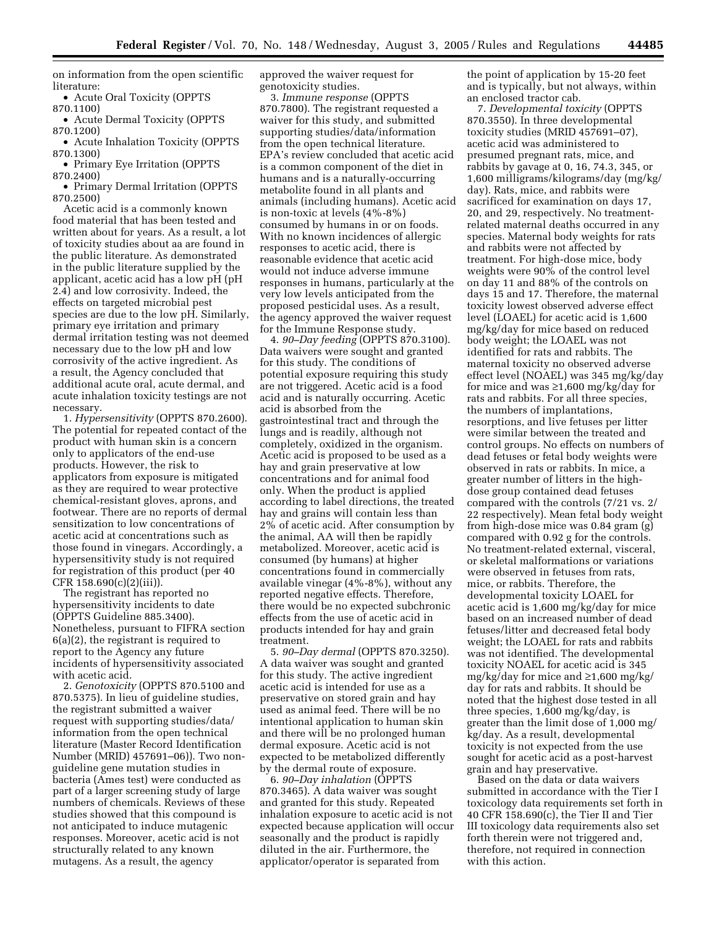on information from the open scientific literature:

• Acute Oral Toxicity (OPPTS 870.1100)

• Acute Dermal Toxicity (OPPTS 870.1200)

• Acute Inhalation Toxicity (OPPTS 870.1300)

• Primary Eye Irritation (OPPTS 870.2400)

• Primary Dermal Irritation (OPPTS 870.2500)

Acetic acid is a commonly known food material that has been tested and written about for years. As a result, a lot of toxicity studies about aa are found in the public literature. As demonstrated in the public literature supplied by the applicant, acetic acid has a low pH (pH 2.4) and low corrosivity. Indeed, the effects on targeted microbial pest species are due to the low pH. Similarly, primary eye irritation and primary dermal irritation testing was not deemed necessary due to the low pH and low corrosivity of the active ingredient. As a result, the Agency concluded that additional acute oral, acute dermal, and acute inhalation toxicity testings are not necessary.

1. *Hypersensitivity* (OPPTS 870.2600). The potential for repeated contact of the product with human skin is a concern only to applicators of the end-use products. However, the risk to applicators from exposure is mitigated as they are required to wear protective chemical-resistant gloves, aprons, and footwear. There are no reports of dermal sensitization to low concentrations of acetic acid at concentrations such as those found in vinegars. Accordingly, a hypersensitivity study is not required for registration of this product (per 40 CFR 158.690(c)(2)(iii)).

The registrant has reported no hypersensitivity incidents to date (OPPTS Guideline 885.3400). Nonetheless, pursuant to FIFRA section 6(a)(2), the registrant is required to report to the Agency any future incidents of hypersensitivity associated with acetic acid.

2. *Genotoxicity* (OPPTS 870.5100 and 870.5375). In lieu of guideline studies, the registrant submitted a waiver request with supporting studies/data/ information from the open technical literature (Master Record Identification Number (MRID) 457691–06)). Two nonguideline gene mutation studies in bacteria (Ames test) were conducted as part of a larger screening study of large numbers of chemicals. Reviews of these studies showed that this compound is not anticipated to induce mutagenic responses. Moreover, acetic acid is not structurally related to any known mutagens. As a result, the agency

approved the waiver request for genotoxicity studies.

3. *Immune response* (OPPTS 870.7800). The registrant requested a waiver for this study, and submitted supporting studies/data/information from the open technical literature. EPA's review concluded that acetic acid is a common component of the diet in humans and is a naturally-occurring metabolite found in all plants and animals (including humans). Acetic acid is non-toxic at levels (4%-8%) consumed by humans in or on foods. With no known incidences of allergic responses to acetic acid, there is reasonable evidence that acetic acid would not induce adverse immune responses in humans, particularly at the very low levels anticipated from the proposed pesticidal uses. As a result, the agency approved the waiver request for the Immune Response study.

4. *90–Day feeding* (OPPTS 870.3100). Data waivers were sought and granted for this study. The conditions of potential exposure requiring this study are not triggered. Acetic acid is a food acid and is naturally occurring. Acetic acid is absorbed from the gastrointestinal tract and through the lungs and is readily, although not completely, oxidized in the organism. Acetic acid is proposed to be used as a hay and grain preservative at low concentrations and for animal food only. When the product is applied according to label directions, the treated hay and grains will contain less than 2% of acetic acid. After consumption by the animal, AA will then be rapidly metabolized. Moreover, acetic acid is consumed (by humans) at higher concentrations found in commercially available vinegar (4%-8%), without any reported negative effects. Therefore, there would be no expected subchronic effects from the use of acetic acid in products intended for hay and grain treatment.

5. *90–Day dermal* (OPPTS 870.3250). A data waiver was sought and granted for this study. The active ingredient acetic acid is intended for use as a preservative on stored grain and hay used as animal feed. There will be no intentional application to human skin and there will be no prolonged human dermal exposure. Acetic acid is not expected to be metabolized differently by the dermal route of exposure.

6. *90–Day inhalation* (OPPTS 870.3465). A data waiver was sought and granted for this study. Repeated inhalation exposure to acetic acid is not expected because application will occur seasonally and the product is rapidly diluted in the air. Furthermore, the applicator/operator is separated from

the point of application by 15-20 feet and is typically, but not always, within an enclosed tractor cab.

7. *Developmental toxicity* (OPPTS 870.3550). In three developmental toxicity studies (MRID 457691–07), acetic acid was administered to presumed pregnant rats, mice, and rabbits by gavage at 0, 16, 74.3, 345, or 1,600 milligrams/kilograms/day (mg/kg/ day). Rats, mice, and rabbits were sacrificed for examination on days 17, 20, and 29, respectively. No treatmentrelated maternal deaths occurred in any species. Maternal body weights for rats and rabbits were not affected by treatment. For high-dose mice, body weights were 90% of the control level on day 11 and 88% of the controls on days 15 and 17. Therefore, the maternal toxicity lowest observed adverse effect level (LOAEL) for acetic acid is 1,600 mg/kg/day for mice based on reduced body weight; the LOAEL was not identified for rats and rabbits. The maternal toxicity no observed adverse effect level (NOAEL) was 345 mg/kg/day for mice and was  $\geq 1,600$  mg/kg/day for rats and rabbits. For all three species, the numbers of implantations, resorptions, and live fetuses per litter were similar between the treated and control groups. No effects on numbers of dead fetuses or fetal body weights were observed in rats or rabbits. In mice, a greater number of litters in the highdose group contained dead fetuses compared with the controls (7/21 vs. 2/ 22 respectively). Mean fetal body weight from high-dose mice was 0.84 gram (g) compared with 0.92 g for the controls. No treatment-related external, visceral, or skeletal malformations or variations were observed in fetuses from rats, mice, or rabbits. Therefore, the developmental toxicity LOAEL for acetic acid is 1,600 mg/kg/day for mice based on an increased number of dead fetuses/litter and decreased fetal body weight; the LOAEL for rats and rabbits was not identified. The developmental toxicity NOAEL for acetic acid is 345 mg/kg/day for mice and ≥1,600 mg/kg/ day for rats and rabbits. It should be noted that the highest dose tested in all three species, 1,600 mg/kg/day, is greater than the limit dose of 1,000 mg/ kg/day. As a result, developmental toxicity is not expected from the use sought for acetic acid as a post-harvest grain and hay preservative.

Based on the data or data waivers submitted in accordance with the Tier I toxicology data requirements set forth in 40 CFR 158.690(c), the Tier II and Tier III toxicology data requirements also set forth therein were not triggered and, therefore, not required in connection with this action.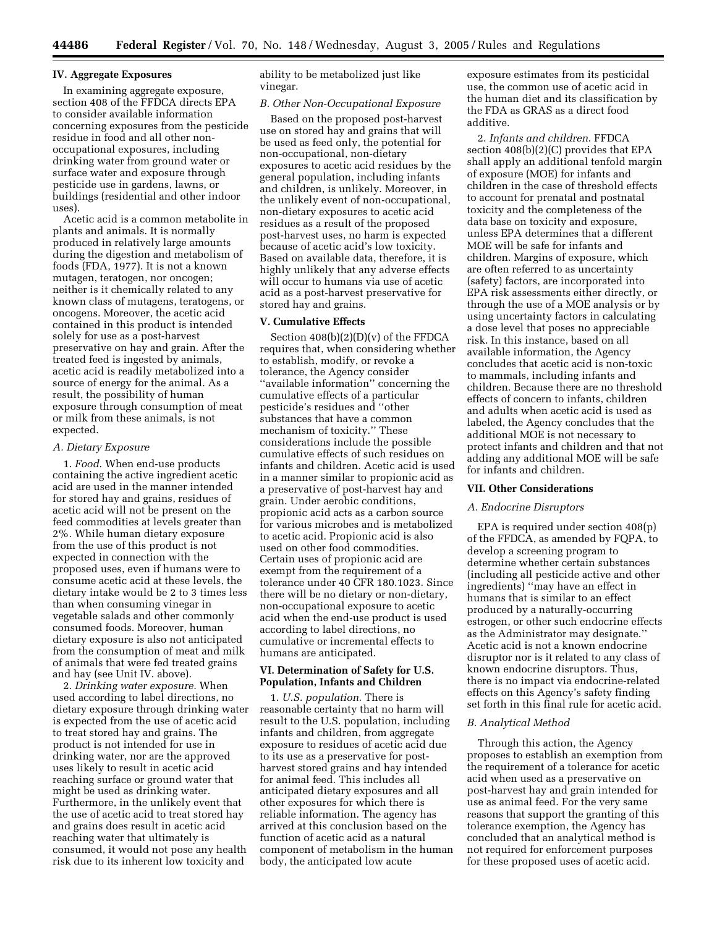## **IV. Aggregate Exposures**

In examining aggregate exposure, section 408 of the FFDCA directs EPA to consider available information concerning exposures from the pesticide residue in food and all other nonoccupational exposures, including drinking water from ground water or surface water and exposure through pesticide use in gardens, lawns, or buildings (residential and other indoor uses).

Acetic acid is a common metabolite in plants and animals. It is normally produced in relatively large amounts during the digestion and metabolism of foods (FDA, 1977). It is not a known mutagen, teratogen, nor oncogen; neither is it chemically related to any known class of mutagens, teratogens, or oncogens. Moreover, the acetic acid contained in this product is intended solely for use as a post-harvest preservative on hay and grain. After the treated feed is ingested by animals, acetic acid is readily metabolized into a source of energy for the animal. As a result, the possibility of human exposure through consumption of meat or milk from these animals, is not expected.

#### *A. Dietary Exposure*

1. *Food*. When end-use products containing the active ingredient acetic acid are used in the manner intended for stored hay and grains, residues of acetic acid will not be present on the feed commodities at levels greater than 2%. While human dietary exposure from the use of this product is not expected in connection with the proposed uses, even if humans were to consume acetic acid at these levels, the dietary intake would be 2 to 3 times less than when consuming vinegar in vegetable salads and other commonly consumed foods. Moreover, human dietary exposure is also not anticipated from the consumption of meat and milk of animals that were fed treated grains and hay (see Unit IV. above).

2. *Drinking water exposure*. When used according to label directions, no dietary exposure through drinking water is expected from the use of acetic acid to treat stored hay and grains. The product is not intended for use in drinking water, nor are the approved uses likely to result in acetic acid reaching surface or ground water that might be used as drinking water. Furthermore, in the unlikely event that the use of acetic acid to treat stored hay and grains does result in acetic acid reaching water that ultimately is consumed, it would not pose any health risk due to its inherent low toxicity and

ability to be metabolized just like vinegar.

# *B. Other Non-Occupational Exposure*

Based on the proposed post-harvest use on stored hay and grains that will be used as feed only, the potential for non-occupational, non-dietary exposures to acetic acid residues by the general population, including infants and children, is unlikely. Moreover, in the unlikely event of non-occupational, non-dietary exposures to acetic acid residues as a result of the proposed post-harvest uses, no harm is expected because of acetic acid's low toxicity. Based on available data, therefore, it is highly unlikely that any adverse effects will occur to humans via use of acetic acid as a post-harvest preservative for stored hay and grains.

# **V. Cumulative Effects**

Section 408(b)(2)(D)(v) of the FFDCA requires that, when considering whether to establish, modify, or revoke a tolerance, the Agency consider ''available information'' concerning the cumulative effects of a particular pesticide's residues and ''other substances that have a common mechanism of toxicity.'' These considerations include the possible cumulative effects of such residues on infants and children. Acetic acid is used in a manner similar to propionic acid as a preservative of post-harvest hay and grain. Under aerobic conditions, propionic acid acts as a carbon source for various microbes and is metabolized to acetic acid. Propionic acid is also used on other food commodities. Certain uses of propionic acid are exempt from the requirement of a tolerance under 40 CFR 180.1023. Since there will be no dietary or non-dietary, non-occupational exposure to acetic acid when the end-use product is used according to label directions, no cumulative or incremental effects to humans are anticipated.

## **VI. Determination of Safety for U.S. Population, Infants and Children**

1. *U.S. population*. There is reasonable certainty that no harm will result to the U.S. population, including infants and children, from aggregate exposure to residues of acetic acid due to its use as a preservative for postharvest stored grains and hay intended for animal feed. This includes all anticipated dietary exposures and all other exposures for which there is reliable information. The agency has arrived at this conclusion based on the function of acetic acid as a natural component of metabolism in the human body, the anticipated low acute

exposure estimates from its pesticidal use, the common use of acetic acid in the human diet and its classification by the FDA as GRAS as a direct food additive.

2. *Infants and children*. FFDCA section 408(b)(2)(C) provides that EPA shall apply an additional tenfold margin of exposure (MOE) for infants and children in the case of threshold effects to account for prenatal and postnatal toxicity and the completeness of the data base on toxicity and exposure, unless EPA determines that a different MOE will be safe for infants and children. Margins of exposure, which are often referred to as uncertainty (safety) factors, are incorporated into EPA risk assessments either directly, or through the use of a MOE analysis or by using uncertainty factors in calculating a dose level that poses no appreciable risk. In this instance, based on all available information, the Agency concludes that acetic acid is non-toxic to mammals, including infants and children. Because there are no threshold effects of concern to infants, children and adults when acetic acid is used as labeled, the Agency concludes that the additional MOE is not necessary to protect infants and children and that not adding any additional MOE will be safe for infants and children.

#### **VII. Other Considerations**

### *A. Endocrine Disruptors*

EPA is required under section 408(p) of the FFDCA, as amended by FQPA, to develop a screening program to determine whether certain substances (including all pesticide active and other ingredients) ''may have an effect in humans that is similar to an effect produced by a naturally-occurring estrogen, or other such endocrine effects as the Administrator may designate.'' Acetic acid is not a known endocrine disruptor nor is it related to any class of known endocrine disruptors. Thus, there is no impact via endocrine-related effects on this Agency's safety finding set forth in this final rule for acetic acid.

#### *B. Analytical Method*

Through this action, the Agency proposes to establish an exemption from the requirement of a tolerance for acetic acid when used as a preservative on post-harvest hay and grain intended for use as animal feed. For the very same reasons that support the granting of this tolerance exemption, the Agency has concluded that an analytical method is not required for enforcement purposes for these proposed uses of acetic acid.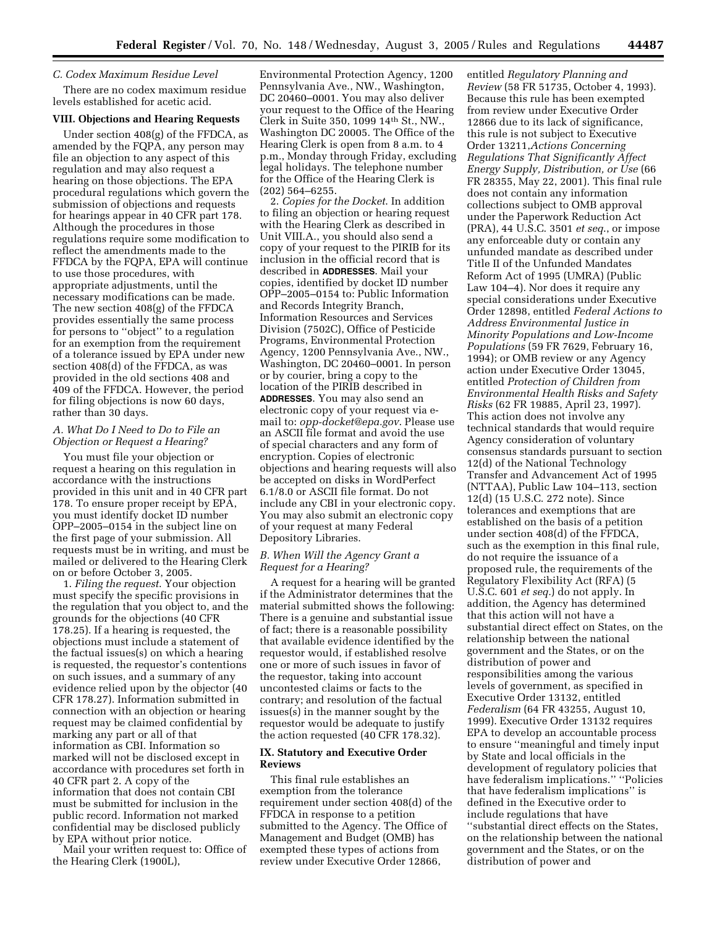### *C. Codex Maximum Residue Level*

There are no codex maximum residue levels established for acetic acid.

# **VIII. Objections and Hearing Requests**

Under section 408(g) of the FFDCA, as amended by the FQPA, any person may file an objection to any aspect of this regulation and may also request a hearing on those objections. The EPA procedural regulations which govern the submission of objections and requests for hearings appear in 40 CFR part 178. Although the procedures in those regulations require some modification to reflect the amendments made to the FFDCA by the FQPA, EPA will continue to use those procedures, with appropriate adjustments, until the necessary modifications can be made. The new section 408(g) of the FFDCA provides essentially the same process for persons to ''object'' to a regulation for an exemption from the requirement of a tolerance issued by EPA under new section 408(d) of the FFDCA, as was provided in the old sections 408 and 409 of the FFDCA. However, the period for filing objections is now 60 days, rather than 30 days.

# *A. What Do I Need to Do to File an Objection or Request a Hearing?*

You must file your objection or request a hearing on this regulation in accordance with the instructions provided in this unit and in 40 CFR part 178. To ensure proper receipt by EPA, you must identify docket ID number OPP–2005–0154 in the subject line on the first page of your submission. All requests must be in writing, and must be mailed or delivered to the Hearing Clerk on or before October 3, 2005.

1. *Filing the request*. Your objection must specify the specific provisions in the regulation that you object to, and the grounds for the objections (40 CFR 178.25). If a hearing is requested, the objections must include a statement of the factual issues(s) on which a hearing is requested, the requestor's contentions on such issues, and a summary of any evidence relied upon by the objector (40 CFR 178.27). Information submitted in connection with an objection or hearing request may be claimed confidential by marking any part or all of that information as CBI. Information so marked will not be disclosed except in accordance with procedures set forth in 40 CFR part 2. A copy of the information that does not contain CBI must be submitted for inclusion in the public record. Information not marked confidential may be disclosed publicly by EPA without prior notice.

Mail your written request to: Office of the Hearing Clerk (1900L),

Environmental Protection Agency, 1200 Pennsylvania Ave., NW., Washington, DC 20460–0001. You may also deliver your request to the Office of the Hearing Clerk in Suite 350, 1099 14th St., NW., Washington DC 20005. The Office of the Hearing Clerk is open from 8 a.m. to 4 p.m., Monday through Friday, excluding legal holidays. The telephone number for the Office of the Hearing Clerk is (202) 564–6255.

2. *Copies for the Docket*. In addition to filing an objection or hearing request with the Hearing Clerk as described in Unit VIII.A., you should also send a copy of your request to the PIRIB for its inclusion in the official record that is described in **ADDRESSES**. Mail your copies, identified by docket ID number OPP–2005–0154 to: Public Information and Records Integrity Branch, Information Resources and Services Division (7502C), Office of Pesticide Programs, Environmental Protection Agency, 1200 Pennsylvania Ave., NW., Washington, DC 20460–0001. In person or by courier, bring a copy to the location of the PIRIB described in **ADDRESSES**. You may also send an electronic copy of your request via email to: *opp-docket@epa.gov*. Please use an ASCII file format and avoid the use of special characters and any form of encryption. Copies of electronic objections and hearing requests will also be accepted on disks in WordPerfect 6.1/8.0 or ASCII file format. Do not include any CBI in your electronic copy. You may also submit an electronic copy of your request at many Federal Depository Libraries.

## *B. When Will the Agency Grant a Request for a Hearing?*

A request for a hearing will be granted if the Administrator determines that the material submitted shows the following: There is a genuine and substantial issue of fact; there is a reasonable possibility that available evidence identified by the requestor would, if established resolve one or more of such issues in favor of the requestor, taking into account uncontested claims or facts to the contrary; and resolution of the factual issues(s) in the manner sought by the requestor would be adequate to justify the action requested (40 CFR 178.32).

# **IX. Statutory and Executive Order Reviews**

This final rule establishes an exemption from the tolerance requirement under section 408(d) of the FFDCA in response to a petition submitted to the Agency. The Office of Management and Budget (OMB) has exempted these types of actions from review under Executive Order 12866,

entitled *Regulatory Planning and Review* (58 FR 51735, October 4, 1993). Because this rule has been exempted from review under Executive Order 12866 due to its lack of significance, this rule is not subject to Executive Order 13211,*Actions Concerning Regulations That Significantly Affect Energy Supply, Distribution, or Use* (66 FR 28355, May 22, 2001). This final rule does not contain any information collections subject to OMB approval under the Paperwork Reduction Act (PRA), 44 U.S.C. 3501 *et seq*., or impose any enforceable duty or contain any unfunded mandate as described under Title II of the Unfunded Mandates Reform Act of 1995 (UMRA) (Public Law 104–4). Nor does it require any special considerations under Executive Order 12898, entitled *Federal Actions to Address Environmental Justice in Minority Populations and Low-Income Populations* (59 FR 7629, February 16, 1994); or OMB review or any Agency action under Executive Order 13045, entitled *Protection of Children from Environmental Health Risks and Safety Risks* (62 FR 19885, April 23, 1997). This action does not involve any technical standards that would require Agency consideration of voluntary consensus standards pursuant to section 12(d) of the National Technology Transfer and Advancement Act of 1995 (NTTAA), Public Law 104–113, section 12(d) (15 U.S.C. 272 note). Since tolerances and exemptions that are established on the basis of a petition under section 408(d) of the FFDCA, such as the exemption in this final rule, do not require the issuance of a proposed rule, the requirements of the Regulatory Flexibility Act (RFA) (5 U.S.C. 601 *et seq.*) do not apply. In addition, the Agency has determined that this action will not have a substantial direct effect on States, on the relationship between the national government and the States, or on the distribution of power and responsibilities among the various levels of government, as specified in Executive Order 13132, entitled *Federalism* (64 FR 43255, August 10, 1999). Executive Order 13132 requires EPA to develop an accountable process to ensure ''meaningful and timely input by State and local officials in the development of regulatory policies that have federalism implications.'' ''Policies that have federalism implications'' is defined in the Executive order to include regulations that have ''substantial direct effects on the States, on the relationship between the national government and the States, or on the distribution of power and